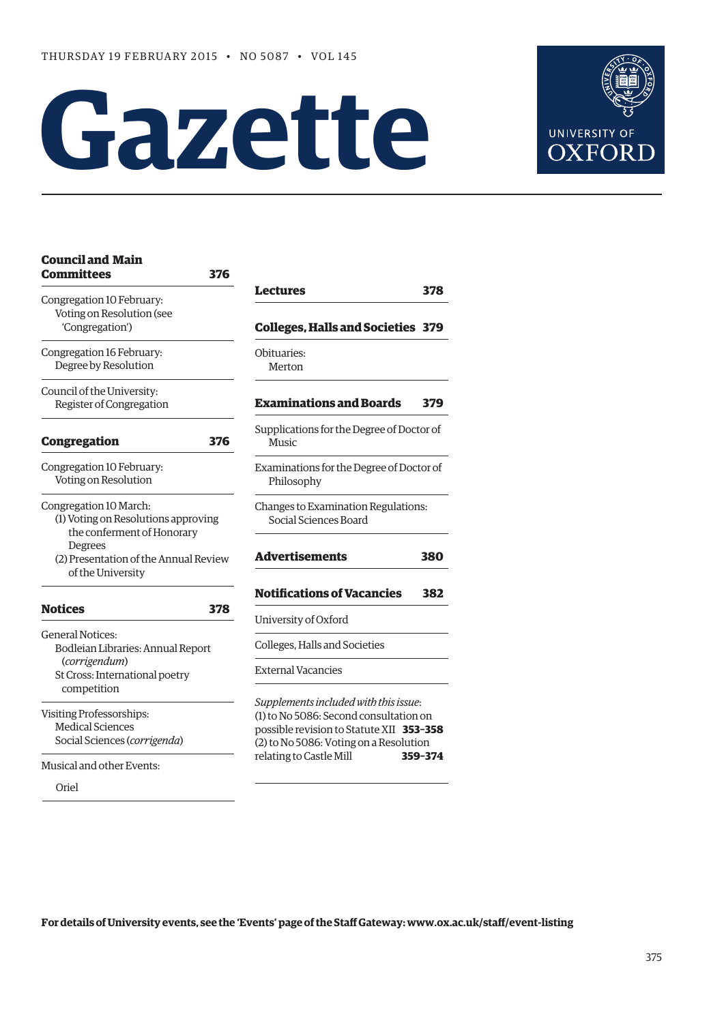# **Gazette**



| <b>Committees</b>                                                                           | 376 |                                                                                                                                                                                                  |         |
|---------------------------------------------------------------------------------------------|-----|--------------------------------------------------------------------------------------------------------------------------------------------------------------------------------------------------|---------|
| Congregation 10 February:<br>Voting on Resolution (see                                      |     | Lectures                                                                                                                                                                                         | 378     |
| 'Congregation')                                                                             |     | <b>Colleges, Halls and Societies 379</b>                                                                                                                                                         |         |
| Congregation 16 February:<br>Degree by Resolution                                           |     | Obituaries:<br>Merton                                                                                                                                                                            |         |
| Council of the University:<br>Register of Congregation                                      |     | <b>Examinations and Boards</b>                                                                                                                                                                   | 379     |
| Congregation                                                                                | 376 | Supplications for the Degree of Doctor of<br>Music                                                                                                                                               |         |
| Congregation 10 February:<br>Voting on Resolution                                           |     | Examinations for the Degree of Doctor of<br>Philosophy                                                                                                                                           |         |
| Congregation 10 March:<br>(1) Voting on Resolutions approving<br>the conferment of Honorary |     | Changes to Examination Regulations:<br>Social Sciences Board                                                                                                                                     |         |
| <b>Degrees</b><br>(2) Presentation of the Annual Review<br>of the University                |     | <b>Advertisements</b>                                                                                                                                                                            | 380     |
|                                                                                             |     | <b>Notifications of Vacancies</b>                                                                                                                                                                | 382     |
| <b>Notices</b>                                                                              | 378 | University of Oxford                                                                                                                                                                             |         |
| <b>General Notices:</b><br>Bodleian Libraries: Annual Report                                |     | Colleges, Halls and Societies                                                                                                                                                                    |         |
| (corrigendum)<br>St Cross: International poetry<br>competition                              |     | <b>External Vacancies</b>                                                                                                                                                                        |         |
| Visiting Professorships:<br><b>Medical Sciences</b><br>Social Sciences (corrigenda)         |     | Supplements included with this issue:<br>(1) to No 5086: Second consultation on<br>possible revision to Statute XII 353-358<br>(2) to No 5086: Voting on a Resolution<br>relating to Castle Mill | 359-374 |
| Musical and other Events:                                                                   |     |                                                                                                                                                                                                  |         |

Oriel

**[Council and Main](#page-1-0)** 

| Supplications for the Degree of Doctor of<br>Music<br>Examinations for the Degree of Doctor of<br>Philosophy<br>Changes to Examination Regulations:<br>Social Sciences Board<br>Advertisements<br><b>Notifications of Vacancies</b><br>University of Oxford<br>Colleges, Halls and Societies<br><b>External Vacancies</b><br>Supplements included with this issue:<br>(1) to No 5086: Second consultation on<br>possible revision to Statute XII 353-358<br>(2) to No 5086: Voting on a Resolution | <b>Examinations and Boards</b> | 379 |
|----------------------------------------------------------------------------------------------------------------------------------------------------------------------------------------------------------------------------------------------------------------------------------------------------------------------------------------------------------------------------------------------------------------------------------------------------------------------------------------------------|--------------------------------|-----|
|                                                                                                                                                                                                                                                                                                                                                                                                                                                                                                    |                                |     |
|                                                                                                                                                                                                                                                                                                                                                                                                                                                                                                    |                                |     |
|                                                                                                                                                                                                                                                                                                                                                                                                                                                                                                    |                                |     |
|                                                                                                                                                                                                                                                                                                                                                                                                                                                                                                    |                                | 380 |
|                                                                                                                                                                                                                                                                                                                                                                                                                                                                                                    |                                |     |
|                                                                                                                                                                                                                                                                                                                                                                                                                                                                                                    |                                |     |
|                                                                                                                                                                                                                                                                                                                                                                                                                                                                                                    |                                | 382 |
|                                                                                                                                                                                                                                                                                                                                                                                                                                                                                                    |                                |     |
| relating to Castle Mill<br>359-374                                                                                                                                                                                                                                                                                                                                                                                                                                                                 |                                |     |

**For details of University events, see the 'Events' page of the Staff Gateway: www.ox.ac.uk/staff/event-listing**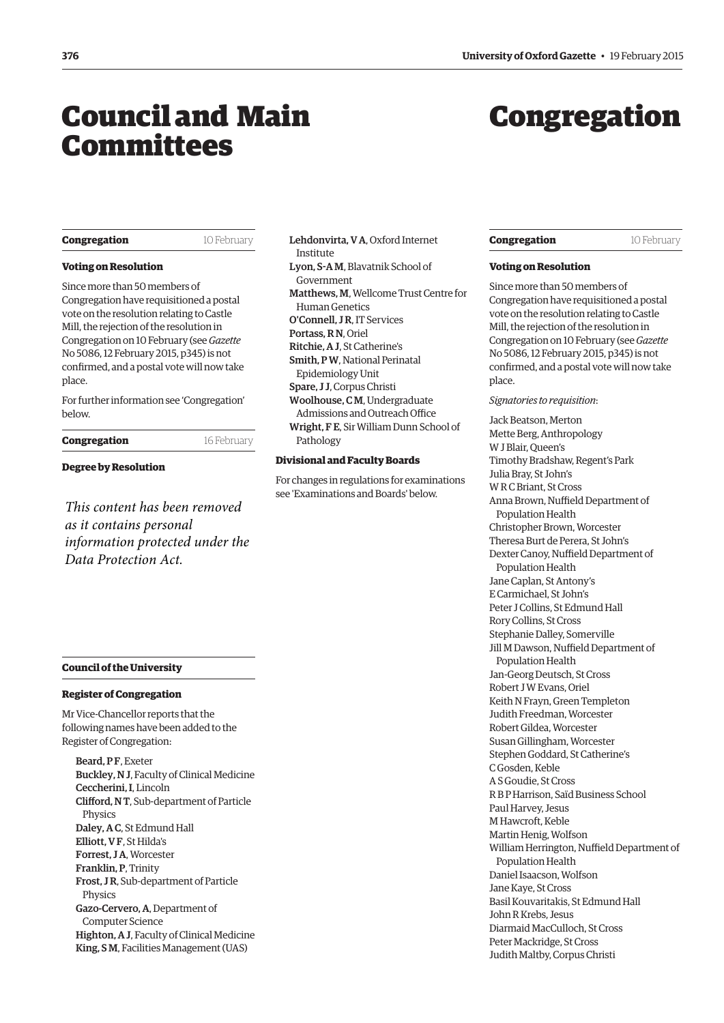# <span id="page-1-0"></span>Council and Main Committees

# Congregation

#### **Congregation** 10 February

# **Voting on Resolution**

Since more than 50 members of Congregation have requisitioned a postal vote on the resolution relating to Castle Mill, the rejection of the resolution in Congregation on 10 February (see *Gazette* No 5086, 12 February 2015, p345) is not confirmed, and a postal vote will now take place.

For further information see 'Congregation' below.

**Congregation** 16 February

**Degree by Resolution**

*This content has been removed as it contains personal information protected under the Data Protection Act.*

# Lehdonvirta, V A, Oxford Internet Institute Lyon, S-A M, Blavatnik School of Government Matthews, M, Wellcome Trust Centre for Human Genetics O'Connell, J R, IT Services Portass, R N, Oriel Ritchie, A J, St Catherine's Smith, P W, National Perinatal Epidemiology Unit Spare, J J, Corpus Christi Woolhouse, C M, Undergraduate Admissions and Outreach Office Wright, F E, Sir William Dunn School of Pathology

# **Divisional and Faculty Boards**

For changes in regulations for examinations see 'Examinations and Boards' below.

# **Council of the University**

# **Register of Congregation**

Mr Vice-Chancellor reports that the following names have been added to the Register of Congregation:

Beard, PF, Exeter Buckley, N J, Faculty of Clinical Medicine Ceccherini, I, Lincoln Clifford, N T, Sub-department of Particle Physics Daley, A C, St Edmund Hall Elliott, V F, St Hilda's Forrest, J A, Worcester Franklin, P, Trinity Frost, J R, Sub-department of Particle Physics Gazo-Cervero, A, Department of Computer Science Highton, A J, Faculty of Clinical Medicine King, S M, Facilities Management (UAS)

# **Congregation** 10 February

# **Voting on Resolution**

Since more than 50 members of Congregation have requisitioned a postal vote on the resolution relating to Castle Mill, the rejection of the resolution in Congregation on 10 February (see *Gazette* [No 5086, 12 February 2015, p345\) is not](https://www.ox.ac.uk/gazette/2014-2015/12february2015-no5086/councilandmaincommittees/#199262)  confirmed, and a postal vote will now take place.

#### *Signatories to requisition*:

Jack Beatson, Merton Mette Berg, Anthropology W J Blair, Queen's Timothy Bradshaw, Regent's Park Julia Bray, St John's W R C Briant, St Cross Anna Brown, Nuffield Department of Population Health Christopher Brown, Worcester Theresa Burt de Perera, St John's Dexter Canoy, Nuffield Department of Population Health Jane Caplan, St Antony's E Carmichael, St John's Peter J Collins, St Edmund Hall Rory Collins, St Cross Stephanie Dalley, Somerville Jill M Dawson, Nuffield Department of Population Health Jan-Georg Deutsch, St Cross Robert J W Evans, Oriel Keith N Frayn, Green Templeton Judith Freedman, Worcester Robert Gildea, Worcester Susan Gillingham, Worcester Stephen Goddard, St Catherine's C Gosden, Keble AS Goudie, St Cross RB P Harrison, Saïd Business School Paul Harvey, Jesus M Hawcroft, Keble Martin Henig, Wolfson William Herrington, Nuffield Department of Population Health Daniel Isaacson, Wolfson Jane Kaye, St Cross Basil Kouvaritakis, St Edmund Hall John R Krebs, Jesus Diarmaid MacCulloch, St Cross Peter Mackridge, St Cross Judith Maltby, Corpus Christi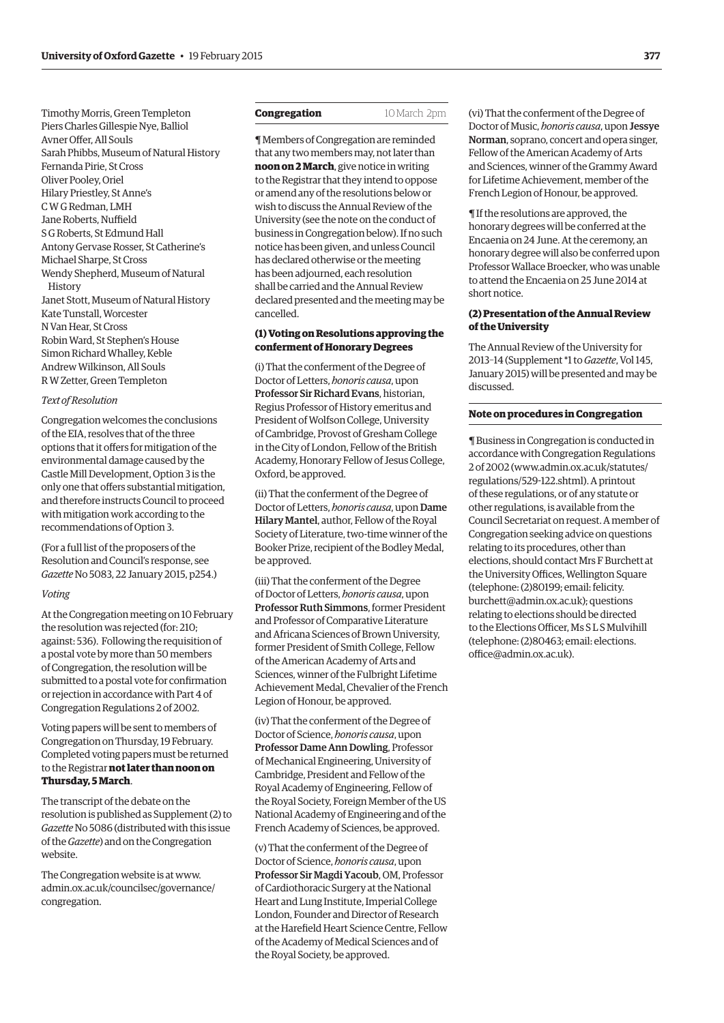Timothy Morris, Green Templeton Piers Charles Gillespie Nye, Balliol Avner Offer, All Souls Sarah Phibbs, Museum of Natural History Fernanda Pirie, St Cross Oliver Pooley, Oriel Hilary Priestley, St Anne's C W G Redman, LMH Jane Roberts, Nuffield S G Roberts, St Edmund Hall Antony Gervase Rosser, St Catherine's Michael Sharpe, St Cross Wendy Shepherd, Museum of Natural History Janet Stott, Museum of Natural History Kate Tunstall, Worcester N Van Hear, St Cross Robin Ward, St Stephen's House Simon Richard Whalley, Keble Andrew Wilkinson, All Souls R W Zetter, Green Templeton

#### *Text of Resolution*

Congregation welcomes the conclusions of the EIA, resolves that of the three options that it offers for mitigation of the environmental damage caused by the Castle Mill Development, Option 3 is the only one that offers substantial mitigation, and therefore instructs Council to proceed with mitigation work according to the recommendations of Option 3.

(For a full list of the proposers of the Resolution and Council's response, see *Gazette* [No 5083, 22 January 2015, p254.](http://www.ox.ac.uk/gazette/2014-2015/22january2015-no5083/congregation/#194944))

#### *Voting*

At the Congregation meeting on 10 February the resolution was rejected (for: 210; against: 536). Following the requisition of a postal vote by more than 50 members of Congregation, the resolution will be submitted to a postal vote for confirmation or rejection in accordance with Part 4 of Congregation Regulations 2 of 2002.

Voting papers will be sent to members of Congregation on Thursday, 19 February. Completed voting papers must be returned to the Registrar **not later than noon on Thursday, 5 March**.

The transcript of the debate on the resolution is published as Supplement (2) to *Gazette* No 5086 (distributed with this issue of the *Gazette*) and on the Congregation website.

The Congregation website is at www. [admin.ox.ac.uk/councilsec/governance/](www.admin.ox.ac.uk/councilsec/governance/congregation) congregation.

# **Congregation** 10 March 2pm

¶ Members of Congregation are reminded that any two members may, not later than **noon on 2 March**, give notice in writing to the Registrar that they intend to oppose or amend any of the resolutions below or wish to discuss the Annual Review of the University (see the note on the conduct of business in Congregation below). If no such notice has been given, and unless Council has declared otherwise or the meeting has been adjourned, each resolution shall be carried and the Annual Review declared presented and the meeting may be cancelled.

# **(1) Voting on Resolutions approving the conferment of Honorary Degrees**

(i) That the conferment of the Degree of Doctor of Letters, *honoris causa*, upon Professor Sir Richard Evans, historian, Regius Professor of History emeritus and President of Wolfson College, University of Cambridge, Provost of Gresham College in the City of London, Fellow of the British Academy, Honorary Fellow of Jesus College, Oxford, be approved.

(ii) That the conferment of the Degree of Doctor of Letters, *honoris causa*, upon Dame Hilary Mantel, author, Fellow of the Royal Society of Literature, two-time winner of the Booker Prize, recipient of the Bodley Medal, be approved.

(iii) That the conferment of the Degree of Doctor of Letters, *honoris causa*, upon Professor Ruth Simmons, former President and Professor of Comparative Literature and Africana Sciences of Brown University, former President of Smith College, Fellow of the American Academy of Arts and Sciences, winner of the Fulbright Lifetime Achievement Medal, Chevalier of the French Legion of Honour, be approved.

(iv) That the conferment of the Degree of Doctor of Science, *honoris causa*, upon Professor Dame Ann Dowling, Professor of Mechanical Engineering, University of Cambridge, President and Fellow of the Royal Academy of Engineering, Fellow of the Royal Society, Foreign Member of the US National Academy of Engineering and of the French Academy of Sciences, be approved.

(v) That the conferment of the Degree of Doctor of Science, *honoris causa*, upon Professor Sir Magdi Yacoub, OM, Professor of Cardiothoracic Surgery at the National Heart and Lung Institute, Imperial College London, Founder and Director of Research at the Harefield Heart Science Centre, Fellow of the Academy of Medical Sciences and of the Royal Society, be approved.

(vi) That the conferment of the Degree of Doctor of Music, *honoris causa*, upon Jessye Norman, soprano, concert and opera singer, Fellow of the American Academy of Arts and Sciences, winner of the Grammy Award for Lifetime Achievement, member of the French Legion of Honour, be approved.

¶ If the resolutions are approved, the honorary degrees will be conferred at the Encaenia on 24 June. At the ceremony, an honorary degree will also be conferred upon Professor Wallace Broecker, who was unable to attend the Encaenia on 25 June 2014 at short notice.

# **(2) Presentation of the Annual Review of the University**

The Annual Review of the University for 2013–14 (Supplement \*1 to *Gazette*, Vol 145, [January 2015\) will be presented and may be](http://www.ox.ac.uk/annual-review) discussed.

# **Note on procedures in Congregation**

¶ Business in Congregation is conducted in accordance with Congregation Regulations [2 of 2002 \(www.admin.ox.ac.uk/statutes/](www.admin.ox.ac.uk/statutes/regulations/529-122.shtml) regulations/529-122.shtml). A printout of these regulations, or of any statute or other regulations, is available from the Council Secretariat on request. A member of Congregation seeking advice on questions relating to its procedures, other than elections, should contact Mrs F Burchett at the University Offices, Wellington Square (telephone: (2)80199; email: felicity. [burchett@admin.ox.ac.uk\); questions](mailto:felicity.burchett@admin.ox.ac.uk)  relating to elections should be directed to the Elections Officer, Ms S L S Mulvihill [\(telephone: \(2\)80463; email: elections.](mailto:elections.office@admin.ox.ac.uk) office@admin.ox.ac.uk).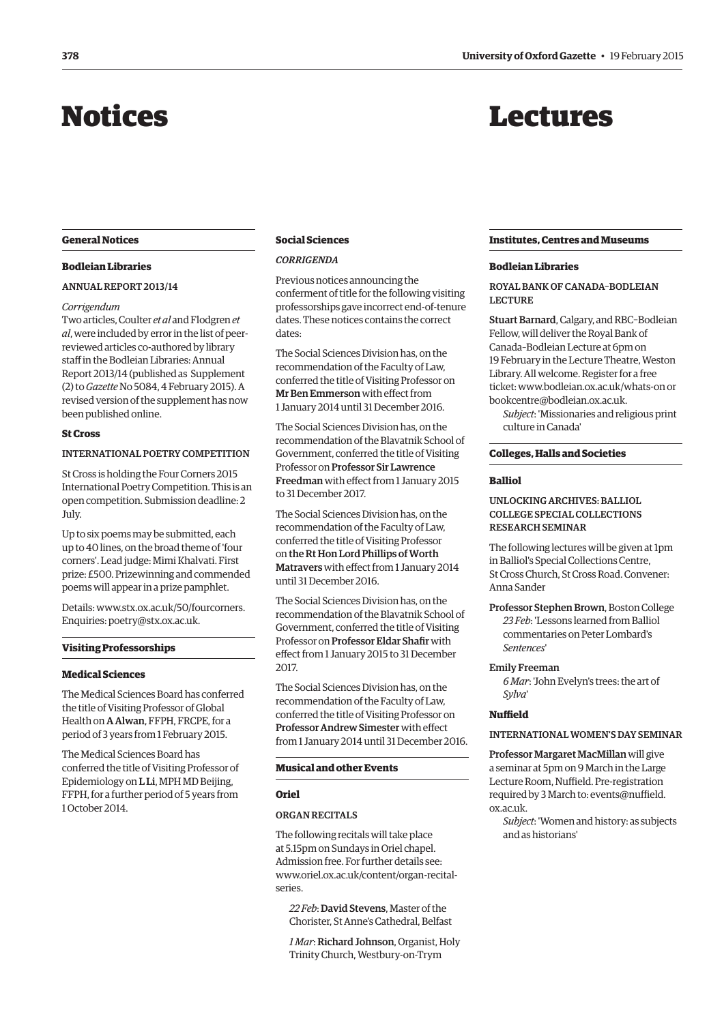# <span id="page-3-0"></span>Notices

# Lectures

## **General Notices**

# **Bodleian Libraries**

# Annual Report 2013/14

#### *Corrigendum*

Two articles, Coulter *et al* and Flodgren *et al*, were included by error in the list of peerreviewed articles co-authored by library staff in the Bodleian Libraries: Annual Report 2013/14 (published as Supplement (2) to *Gazette* No 5084, 4 February 2015). A revised version of the supplement has now been published online.

# **St Cross**

# International poetry competition

St Cross is holding the Four Corners 2015 International Poetry Competition. This is an open competition. Submission deadline: 2 July.

Up to six poems may be submitted, each up to 40 lines, on the broad theme of 'four corners'. Lead judge: Mimi Khalvati. First prize: £500. Prizewinning and commended poems will appear in a prize pamphlet.

Details: www.stx.ox.ac.uk/50/fourcorners. Enquiries: poetry@stx.ox.ac.uk.

# **Visiting Professorships**

#### **Medical Sciences**

The Medical Sciences Board has conferred the title of Visiting Professor of Global Health on A Alwan, FFPH, FRCPE, for a period of 3 years from 1 February 2015.

The Medical Sciences Board has conferred the title of Visiting Professor of Epidemiology on **L Li**, MPH MD Beijing, FFPH, for a further period of 5 years from 1 October 2014.

# **Social Sciences**

# *Corrigenda*

Previous notices announcing the conferment of title for the following visiting professorships gave incorrect end-of-tenure dates. These notices contains the correct dates:

The Social Sciences Division has, on the recommendation of the Faculty of Law, conferred the title of Visiting Professor on Mr Ben Emmerson with effect from 1 January 2014 until 31 December 2016.

The Social Sciences Division has, on the recommendation of the Blavatnik School of Government, conferred the title of Visiting Professor on Professor Sir Lawrence Freedman with effect from 1 January 2015 to 31 December 2017.

The Social Sciences Division has, on the recommendation of the Faculty of Law, conferred the title of Visiting Professor on the Rt Hon Lord Phillips of Worth Matravers with effect from 1 January 2014 until 31 December 2016.

The Social Sciences Division has, on the recommendation of the Blavatnik School of Government, conferred the title of Visiting Professor on Professor Eldar Shafir with effect from 1 January 2015 to 31 December 2017.

The Social Sciences Division has, on the recommendation of the Faculty of Law, conferred the title of Visiting Professor on Professor Andrew Simester with effect from 1 January 2014 until 31 December 2016.

# **Musical and other Events**

# **Oriel**

# Organ Recitals

The following recitals will take place at 5.15pm on Sundays in Oriel chapel. Admission free. For further details see: [www.oriel.ox.ac.uk/content/organ-recital](www.oriel.ox.ac.uk/content/organ-recital-series)series.

*22 Feb*: David Stevens, Master of the Chorister, St Anne's Cathedral, Belfast

*1 Mar*: Richard Johnson, Organist, Holy Trinity Church, Westbury-on-Trym

# **Institutes, Centres and Museums**

#### **Bodleian Libraries**

ROYAL BANK OF CANADA-BODLEIAN lecture

Stuart Barnard, Calgary, and RBC–Bodleian Fellow, will deliver the Royal Bank of Canada–Bodleian Lecture at 6pm on 19 February in the Lecture Theatre, Weston Library. All welcome. Register for a free ticket: www.bodleian.ox.ac.uk/whats-on or bookcentre@bodleian.ox.ac.uk.

*Subject*: 'Missionaries and religious print culture in Canada'

# **Colleges, Halls and Societies**

# **Balliol**

# Unlockingarchives: Balliol College Special Collections research seminar

The following lectures will be given at 1pm in Balliol's Special Collections Centre, St Cross Church, St Cross Road. Convener: Anna Sander

Professor Stephen Brown, Boston College *23 Feb*: 'Lessons learned from Balliol commentaries on Peter Lombard's *Sentences*'

#### Emily Freeman

*6 Mar*: 'John Evelyn's trees: the art of *Sylva*'

# **Nuffield**

# International Women's Day seminar

Professor Margaret MacMillan will give a seminar at 5pm on 9 March in the Large Lecture Room, Nuffield. Pre-registration [required by 3 March to: events@nuffield.](mailto:events@nuffield.ox.ac.uk) ox.ac.uk.

*Subject*: 'Women and history: as subjects and as historians'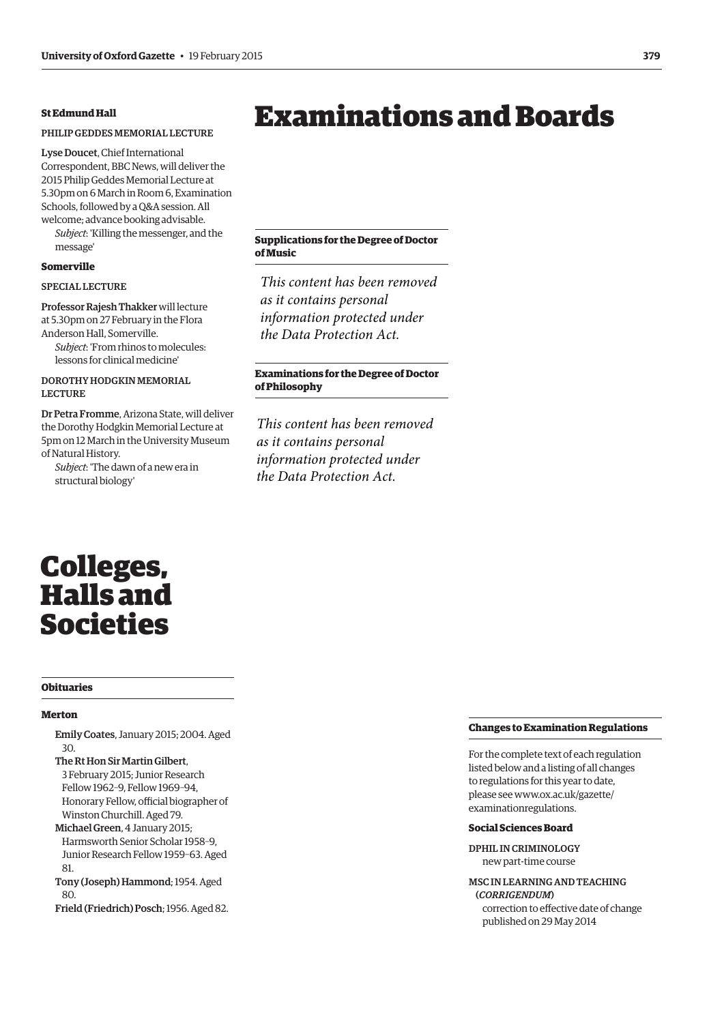# <span id="page-4-0"></span>**St Edmund Hall**

# Philip Geddes Memorial Lecture

Lyse Doucet, Chief International Correspondent, BBC News, will deliver the 2015 Philip Geddes Memorial Lecture at 5.30pm on 6 March in Room 6, Examination Schools, followed by a Q&A session. All welcome; advance booking advisable.

*Subject*: 'Killing the messenger, and the message'

# **Somerville**

# Special lecture

Professor Rajesh Thakker will lecture at 5.30pm on 27 February in the Flora Anderson Hall, Somerville. *Subject*: 'From rhinos to molecules:

lessons for clinical medicine'

# Dorothy Hodgkin Memorial **LECTURE**

Dr Petra Fromme, Arizona State, will deliver the Dorothy Hodgkin Memorial Lecture at 5pm on 12 March in the University Museum of Natural History.

*Subject*: 'The dawn of a new era in structural biology'

# Examinations and Boards

# **Supplications for the Degree of Doctor of Music**

*This content has been removed as it contains personal information protected under the Data Protection Act.*

# **Examinations for the Degree of Doctor of Philosophy**

*This content has been removed as it contains personal information protected under the Data Protection Act.*

# Colleges, Halls and Societies

#### **Obituaries**

## **Merton**

- Emily Coates, January 2015; 2004. Aged 30.
- The Rt Hon Sir Martin Gilbert, 3 February 2015; Junior Research Fellow 1962–9, Fellow 1969–94, Honorary Fellow, official biographer of Winston Churchill. Aged 79.
- Michael Green, 4 January 2015; Harmsworth Senior Scholar 1958–9, Junior Research Fellow 1959–63. Aged 81.
- Tony (Joseph) Hammond; 1954. Aged  $8<sub>0</sub>$
- Frield (Friedrich) Posch; 1956. Aged 82.

# **Changes to Examination Regulations**

For the complete text of each regulation listed below and a listing of all changes to regulations for this year to date, [please see www.ox.ac.uk/gazette/](www.ox.ac.uk/gazette/examinationregulations) examinationregulations.

#### **Social Sciences Board**

DPhil in Criminology new part-time course

MSc in Learningand Teaching (*corrigendum*) correction to effective date of change published on 29 May 2014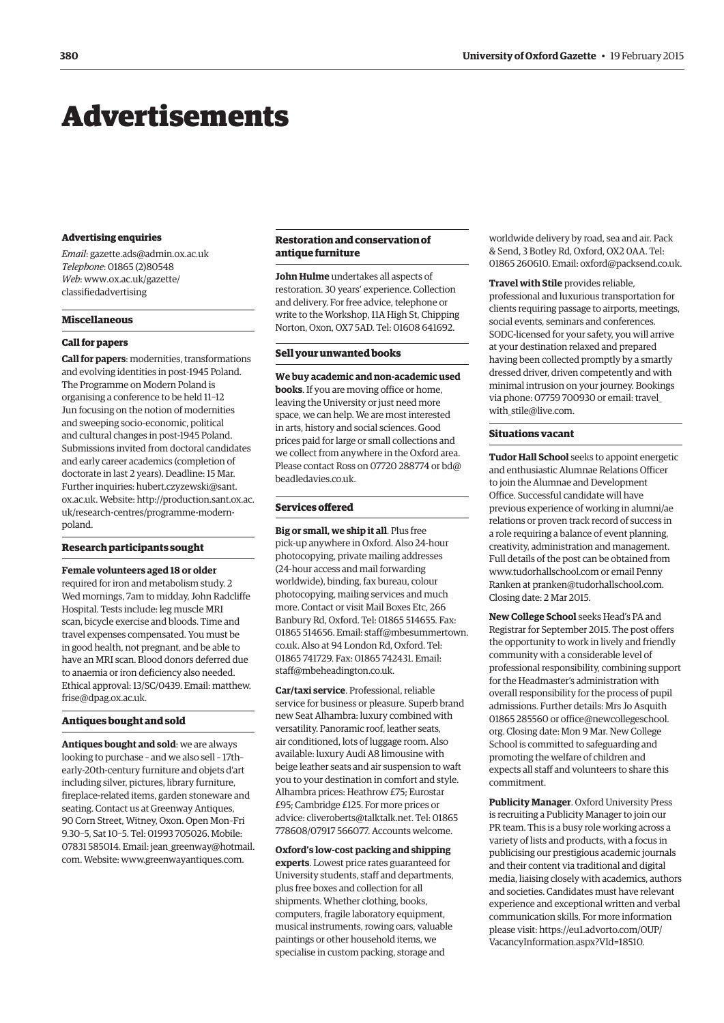# <span id="page-5-0"></span>Advertisements

#### **Advertising enquiries**

*Email*: gazette.ads@admin.ox.ac.uk *Telephone*: 01865 (2)80548 *Web*[: www.ox.ac.uk/gazette/](www.ox.ac.uk/gazette/classifiedadvertising) classifiedadvertising

#### **Miscellaneous**

#### **Call for papers**

**Call for papers**: modernities, transformations and evolving identities in post-1945 Poland. The Programme on Modern Poland is organising a conference to be held 11–12 Jun focusing on the notion of modernities and sweeping socio-economic, political and cultural changes in post-1945 Poland. Submissions invited from doctoral candidates and early career academics (completion of doctorate in last 2 years). Deadline: 15 Mar. Further i[nquiries: hubert.czyzewski@sant.](mailto:hubert.czyzewski@sant.ox.ac.uk) ox.ac.uk. [Website: http://production.sant.ox.ac.](http://production.sant.ox.ac.uk/research-centres/programme-modern-poland) uk/research-centres/programme-modernpoland.

## **Research participants sought**

**Female volunteers aged 18 or older**

required for iron and metabolism study. 2 Wed mornings, 7am to midday, John Radcliffe Hospital. Tests include: leg muscle MRI scan, bicycle exercise and bloods. Time and travel expenses compensated. You must be in good health, not pregnant, and be able to have an MRI scan. Blood donors deferred due to anaemia or iron deficiency also needed. [Ethical approval: 13/SC/0439. Email: matthew.](mailto:matthew.frise@dpag.ox.ac.uk) frise@dpag.ox.ac.uk.

# **Antiques bought and sold**

**Antiques bought and sold**: we are always looking to purchase – and we also sell – 17th– early-20th-century furniture and objets d'art including silver, pictures, library furniture, fireplace-related items, garden stoneware and seating. Contact us at Greenway Antiques, 90 Corn Street, Witney, Oxon. Open Mon–Fri 9.30–5, Sat 10–5. Tel: 01993 705026. Mobile: 07831 585014. Email: jean greenway@hotmail. com. Website: www.greenwayantiques.com.

# **Restoration and conservation of antique furniture**

**John Hulme** undertakes all aspects of restoration. 30 years' experience. Collection and delivery. For free advice, telephone or write to the Workshop, 11A High St, Chipping Norton, Oxon, OX7 5AD. Tel: 01608 641692.

## **Sell your unwanted books**

**We buy academic and non-academic used books**. If you are moving office or home, leaving the University or just need more space, we can help. We are most interested in arts, history and social sciences. Good prices paid for large or small collections and we collect from anywhere in the Oxford area. [Please contact Ross on 07720 288774 or bd@](mailto:bd@beadledavies.co.uk) beadledavies.co.uk.

## **Services offered**

**Big or small, we ship it all**. Plus free pick-up anywhere in Oxford. Also 24-hour photocopying, private mailing addresses (24-hour access and mail forwarding worldwide), binding, fax bureau, colour photocopying, mailing services and much more. Contact or visit Mail Boxes Etc, 266 Banbury Rd, Oxford. Tel: 01865 514655. Fax: [01865 514656. Email: staff@mbesummertown.](mailto:staff@mbesummertown.co.uk) co.uk. Also at 94 London Rd, Oxford. Tel: 01865 741729. Fax: 01865 742431. Email: staff@mbeheadington.co.uk.

**Car/taxi service**. Professional, reliable service for business or pleasure. Superb brand new Seat Alhambra: luxury combined with versatility. Panoramic roof, leather seats, air conditioned, lots of luggage room. Also available: luxury Audi A8 limousine with beige leather seats and air suspension to waft you to your destination in comfort and style. Alhambra prices: Heathrow £75; Eurostar £95; Cambridge £125. For more prices or advice: cliveroberts@talktalk.net. Tel: 01865 778608/07917 566077. Accounts welcome.

**Oxford's low-cost packing and shipping experts**. Lowest price rates guaranteed for University students, staff and departments, plus free boxes and collection for all shipments. Whether clothing, books, computers, fragile laboratory equipment, musical instruments, rowing oars, valuable paintings or other household items, we specialise in custom packing, storage and

worldwide delivery by road, sea and air. Pack & Send, 3 Botley Rd, Oxford, OX2 0AA. Tel: 01865 260610. Email: oxford@packsend.co.uk.

**Travel with Stile** provides reliable, professional and luxurious transportation for clients requiring passage to airports, meetings, social events, seminars and conferences. SODC-licensed for your safety, you will arrive at your destination relaxed and prepared having been collected promptly by a smartly dressed driver, driven competently and with minimal intrusion on your journey. Bookings [via phone: 07759 700930 or email: travel\\_](mailto:travel_with_stile@live.com) with\_stile@live.com.

# **Situations vacant**

**Tudor Hall School** seeks to appoint energetic and enthusiastic Alumnae Relations Officer to join the Alumnae and Development Office. Successful candidate will have previous experience of working in alumni/ae relations or proven track record of success in a role requiring a balance of event planning, creativity, administration and management. Full details of the post can be obtained from www.tudorhallschool.com or email Penny Ranken at pranken@tudorhallschool.com. Closing date: 2 Mar 2015.

**New College School** seeks Head's PA and Registrar for September 2015. The post offers the opportunity to work in lively and friendly community with a considerable level of professional responsibility, combining support for the Headmaster's administration with overall responsibility for the process of pupil admissions. Further details: Mrs Jo Asquith [01865 285560 or office@newcollegeschool.](mailto:office@newcollegeschool.org) org. Closing date: Mon 9 Mar. New College School is committed to safeguarding and promoting the welfare of children and expects all staff and volunteers to share this commitment.

**Publicity Manager**. Oxford University Press is recruiting a Publicity Manager to join our PR team. This is a busy role working across a variety of lists and products, with a focus in publicising our prestigious academic journals and their content via traditional and digital media, liaising closely with academics, authors and societies. Candidates must have relevant experience and exceptional written and verbal communication skills. For more information [please visit: https://eu1.advorto.com/OUP/](https://eu1.advorto.com/OUP/VacancyInformation.aspx?VId=18510) VacancyInformation.aspx?VId=18510.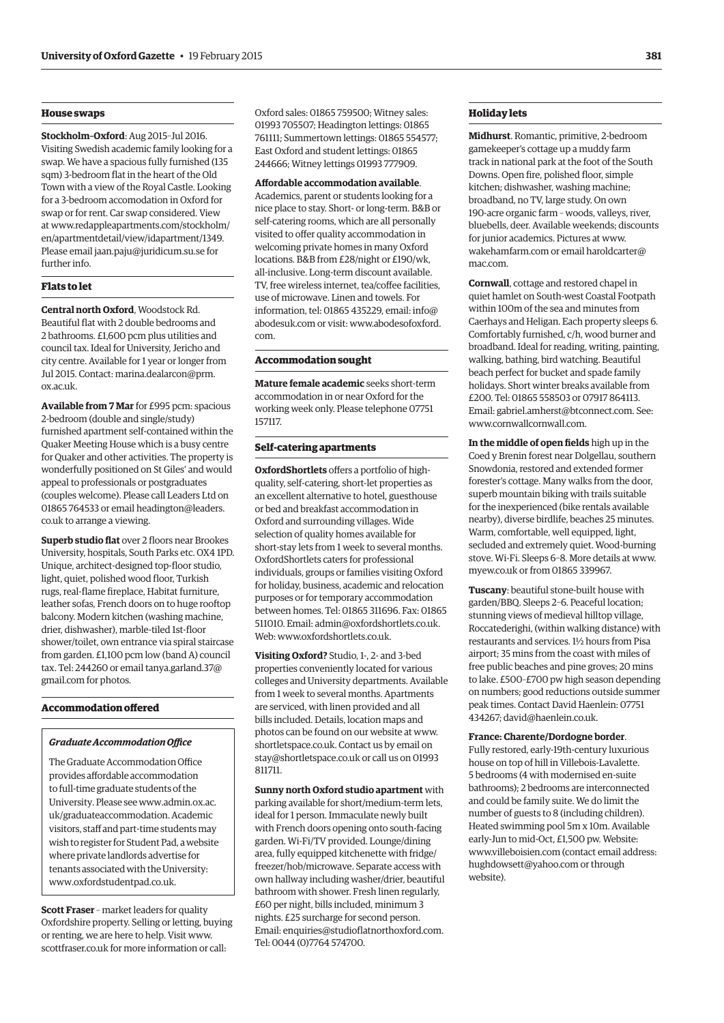# **House swaps**

**Stockholm–Oxford**: Aug 2015–Jul 2016. Visiting Swedish academic family looking for a swap. We have a spacious fully furnished (135 sqm) 3-bedroom flat in the heart of the Old Town with a view of the Royal Castle. Looking for a 3-bedroom accomodation in Oxford for swap or for rent. Car swap considered. View [at www.redappleapartments.com/stockholm/](www.redappleapartments.com/stockholm/en/apartmentdetail/view/idapartment/1349) en/apartmentdetail/view/idapartment/1349. Please email jaan.paju@juridicum.su.se for further info.

# **Flats to let**

**Central north Oxford**, Woodstock Rd. Beautiful flat with 2 double bedrooms and 2 bathrooms. £1,600 pcm plus utilities and council tax. Ideal for University, Jericho and city centre. Available for 1 year or longer from [Jul 2015. Contact: marina.dealarcon@prm.](mailto:marina.dealarcon@prm.ox.ac.uk) ox.ac.uk.

**Available from 7 Mar** for £995 pcm: spacious 2-bedroom (double and single/study) furnished apartment self-contained within the Quaker Meeting House which is a busy centre for Quaker and other activities. The property is wonderfully positioned on St Giles' and would appeal to professionals or postgraduates (couples welcome). Please call Leaders Ltd on [01865 764533 or email headington@leaders.](mailto:headington@leaders.co.uk) co.uk to arrange a viewing.

**Superb studio flat** over 2 floors near Brookes University, hospitals, South Parks etc. OX4 1PD. Unique, architect-designed top-floor studio, light, quiet, polished wood floor, Turkish rugs, real-flame fireplace, Habitat furniture, leather sofas, French doors on to huge rooftop balcony. Modern kitchen (washing machine, drier, dishwasher), marble-tiled 1st-floor shower/toilet, own entrance via spiral staircase from garden. £1,100 pcm low (band A) council [tax. Tel: 244260 or email tanya.garland.37@](mailto:tanya.garland.37@gmail.com) gmail.com for photos.

## **Accommodation offered**

#### *Graduate Accommodation Office*

The Graduate Accommodation Office provides affordable accommodation to full-time graduate students of the [University. Please see www.admin.ox.ac.](www.admin.ox.ac.uk/graduateaccommodation) uk/graduateaccommodation. Academic visitors, staff and part-time students may wish to register for Student Pad, a website where private landlords advertise for tenants associated with the University: www.oxfordstudentpad.co.uk.

**Scott Fraser** – market leaders for quality Oxfordshire property. Selling or letting, buying or renting, we are here to help. Visit www. [scottfraser.co.uk for more information or call:](www.scottfraser.co.uk) 

Oxford sales: 01865 759500; Witney sales: 01993 705507; Headington lettings: 01865 761111; Summertown lettings: 01865 554577; East Oxford and student lettings: 01865 244666; Witney lettings 01993 777909.

## **Affordable accommodation available**.

Academics, parent or students looking for a nice place to stay. Short- or long-term. B&B or self-catering rooms, which are all personally visited to offer quality accommodation in welcoming private homes in many Oxford locations. B&B from £28/night or £190/wk, all-inclusive. Long-term discount available. TV, free wireless internet, tea/coffee facilities, use of microwave. Linen and towels. For information, tel: 01865 435229, email: info@ [abodesuk.com o](mailto:info@abodesuk.com)r v[isit: www.abodesofoxford.](www.abodesofoxford.com) com.

# **Accommodation sought**

**Mature female academic** seeks short-term accommodation in or near Oxford for the working week only. Please telephone 07751 157117.

# **Self-catering apartments**

**OxfordShortlets** offers a portfolio of highquality, self-catering, short-let properties as an excellent alternative to hotel, guesthouse or bed and breakfast accommodation in Oxford and surrounding villages. Wide selection of quality homes available for short-stay lets from 1 week to several months. OxfordShortlets caters for professional individuals, groups or families visiting Oxford for holiday, business, academic and relocation purposes or for temporary accommodation between homes. Tel: 01865 311696. Fax: 01865 511010. Email: admin@oxfordshortlets.co.uk. Web: www.oxfordshortlets.co.uk.

**Visiting Oxford?** Studio, 1-, 2- and 3-bed properties conveniently located for various colleges and University departments. Available from 1 week to several months. Apartments are serviced, with linen provided and all bills included. Details, location maps and [photos can be found on our website at www.](www.shortletspace.co.uk) shortletspace.co.uk. Contact us by email on stay@shortletspace.co.uk or call us on 01993 811711.

**Sunny north Oxford studio apartment** with parking available for short/medium-term lets, ideal for 1 person. Immaculate newly built with French doors opening onto south-facing garden. Wi-Fi/TV provided. Lounge/dining area, fully equipped kitchenette with fridge/ freezer/hob/microwave. Separate access with own hallway including washer/drier, beautiful bathroom with shower. Fresh linen regularly, £60 per night, bills included, minimum 3 nights. £25 surcharge for second person. Email: enquiries@studioflatnorthoxford.com. Tel: 0044 (0)7764 574700.

# **Holiday lets**

**Midhurst**. Romantic, primitive, 2-bedroom gamekeeper's cottage up a muddy farm track in national park at the foot of the South Downs. Open fire, polished floor, simple kitchen; dishwasher, washing machine; broadband, no TV, large study. On own 190-acre organic farm – woods, valleys, river, bluebells, deer. Available weekends; discounts for junior academics. Pictures at www. [wakehamfarm.com o](www.wakehamfarm.com)r e[mail haroldcarter@](mailto:haroldcarter@mac.com) mac.com.

**Cornwall**, cottage and restored chapel in quiet hamlet on South-west Coastal Footpath within 100m of the sea and minutes from Caerhays and Heligan. Each property sleeps 6. Comfortably furnished, c/h, wood burner and broadband. Ideal for reading, writing, painting, walking, bathing, bird watching. Beautiful beach perfect for bucket and spade family holidays. Short winter breaks available from £200. Tel: 01865 558503 or 07917 864113. Email: gabriel.amherst@btconnect.com. See: www.cornwallcornwall.com.

**In the middle of open fields** high up in the Coed y Brenin forest near Dolgellau, southern Snowdonia, restored and extended former forester's cottage. Many walks from the door, superb mountain biking with trails suitable for the inexperienced (bike rentals available nearby), diverse birdlife, beaches 25 minutes. Warm, comfortable, well equipped, light, secluded and extremely quiet. Wood-burning [stove. Wi-Fi. Sleeps 6–8. More details at www.](www.myew.co.uk) myew.co.uk or from 01865 339967.

**Tuscany**: beautiful stone-built house with garden/BBQ. Sleeps 2–6. Peaceful location; stunning views of medieval hilltop village, Roccatederighi, (within walking distance) with restaurants and services. 1½ hours from Pisa airport; 35 mins from the coast with miles of free public beaches and pine groves; 20 mins to lake. £500–£700 pw high season depending on numbers; good reductions outside summer peak times. Contact David Haenlein: 07751 434267; david@haenlein.co.uk.

# **France: Charente/Dordogne border**.

Fully restored, early-19th-century luxurious house on top of hill in Villebois-Lavalette. 5 bedrooms (4 with modernised en-suite bathrooms); 2 bedrooms are interconnected and could be family suite. We do limit the number of guests to 8 (including children). Heated swimming pool 5m x 10m. Available early-Jun to mid-Oct, £1,500 pw. Website: www.villeboisien.com (contact email address: hughdowsett@yahoo.com or through website).